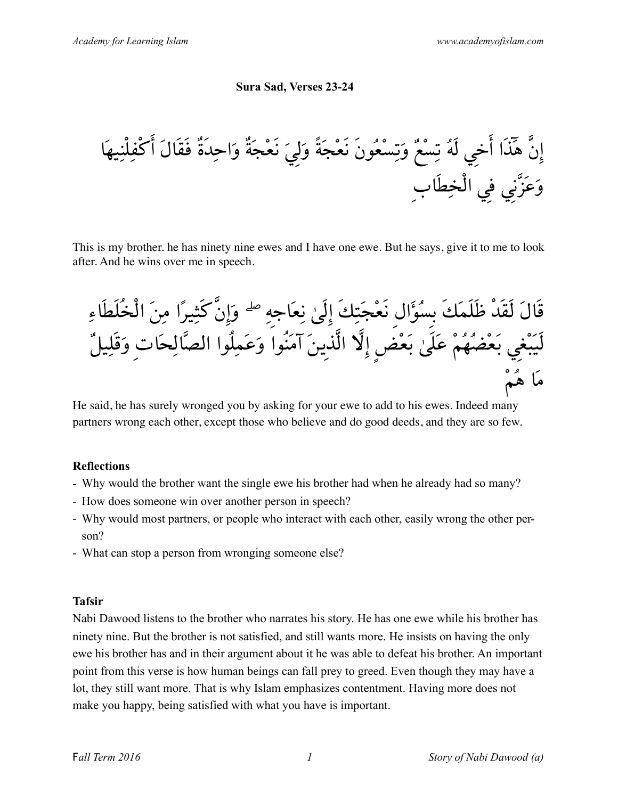#### **Sura Sad, Verses 23-24**

إنَّ هٓذَا أخِي لَهُ تِسْعٌ وَتِسْعُونَ نَعْجَةً وَلِيَ نَعْجَةٌ وَاحِدَةٌ فَقَالَ أكْفِلْنِيهَا وَعَزَّنِي فِي الْخِطَابِ

This is my brother. he has ninety nine ewes and I have one ewe. But he says, give it to me to look after. And he wins over me in speech.

قَالَ لَقَدْ ظَلَمَكَ بِسُؤالِ نَعْجَتِكَ إلَىٰ نِعَاجِهِ ۖ وَإنَّكَثِيرًا مِنَ الْخُلَطَاءِ لَيَبْغِي بَعْضُهُمْ عَلَىٰ بَعْضٍ إلَّا الَّذِينَ آمَنُوا وَعَمِلُوا الصَّالِحَاتِ وَقَلِيلٌ مَا هُمْ

He said, he has surely wronged you by asking for your ewe to add to his ewes. Indeed many partners wrong each other, except those who believe and do good deeds, and they are so few.

#### **Reflections**

- Why would the brother want the single ewe his brother had when he already had so many?
- How does someone win over another person in speech?
- Why would most partners, or people who interact with each other, easily wrong the other person?
- What can stop a person from wronging someone else?

#### **Tafsir**

Nabi Dawood listens to the brother who narrates his story. He has one ewe while his brother has ninety nine. But the brother is not satisfied, and still wants more. He insists on having the only ewe his brother has and in their argument about it he was able to defeat his brother. An important point from this verse is how human beings can fall prey to greed. Even though they may have a lot, they still want more. That is why Islam emphasizes contentment. Having more does not make you happy, being satisfied with what you have is important.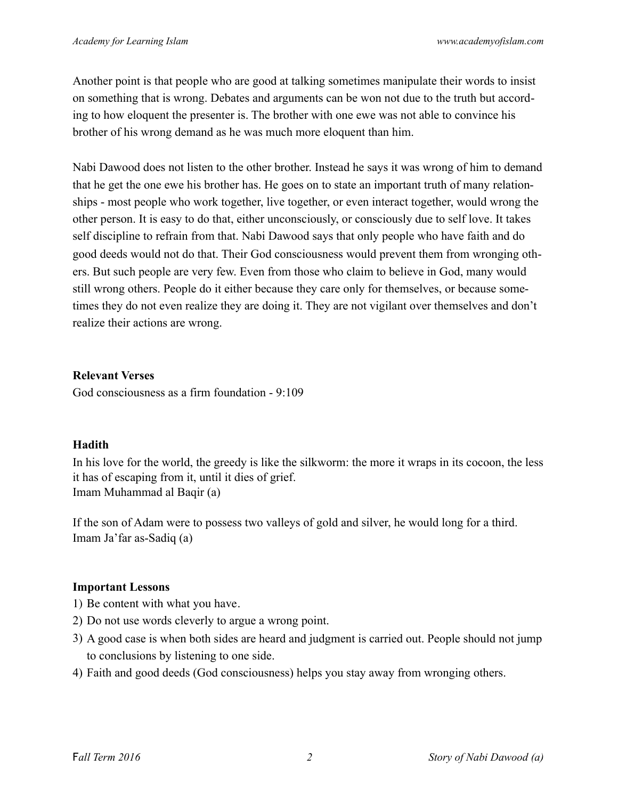Another point is that people who are good at talking sometimes manipulate their words to insist on something that is wrong. Debates and arguments can be won not due to the truth but according to how eloquent the presenter is. The brother with one ewe was not able to convince his brother of his wrong demand as he was much more eloquent than him.

Nabi Dawood does not listen to the other brother. Instead he says it was wrong of him to demand that he get the one ewe his brother has. He goes on to state an important truth of many relationships - most people who work together, live together, or even interact together, would wrong the other person. It is easy to do that, either unconsciously, or consciously due to self love. It takes self discipline to refrain from that. Nabi Dawood says that only people who have faith and do good deeds would not do that. Their God consciousness would prevent them from wronging others. But such people are very few. Even from those who claim to believe in God, many would still wrong others. People do it either because they care only for themselves, or because sometimes they do not even realize they are doing it. They are not vigilant over themselves and don't realize their actions are wrong.

#### **Relevant Verses**

God consciousness as a firm foundation - 9:109

# **Hadith**

In his love for the world, the greedy is like the silkworm: the more it wraps in its cocoon, the less it has of escaping from it, until it dies of grief. Imam Muhammad al Baqir (a)

If the son of Adam were to possess two valleys of gold and silver, he would long for a third. Imam Ja'far as-Sadiq (a)

# **Important Lessons**

- 1) Be content with what you have.
- 2) Do not use words cleverly to argue a wrong point.
- 3) A good case is when both sides are heard and judgment is carried out. People should not jump to conclusions by listening to one side.
- 4) Faith and good deeds (God consciousness) helps you stay away from wronging others.